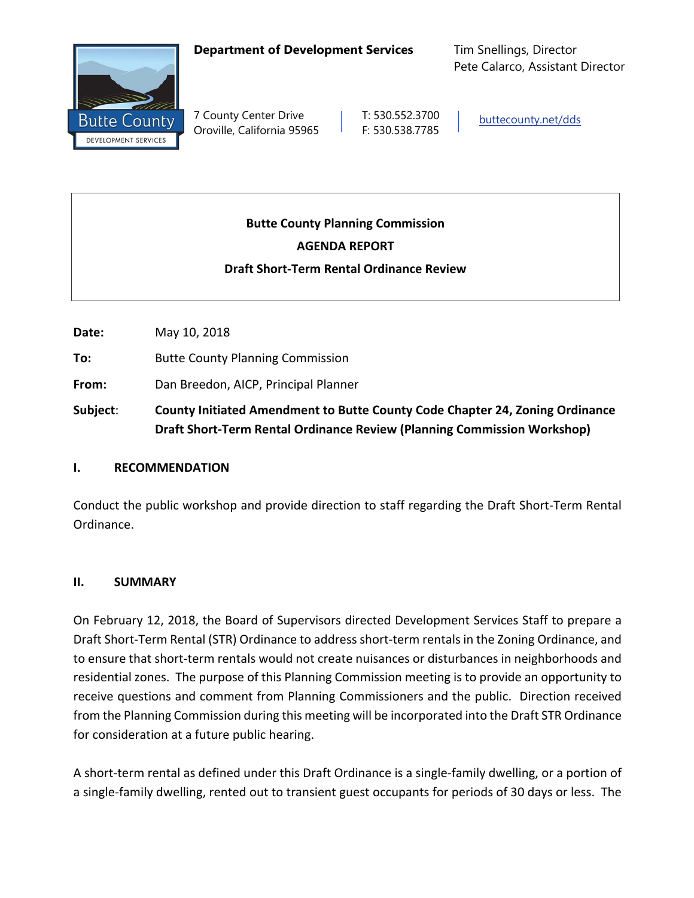#### **Department of Development Services** Tim Snellings, Director



Butte County 7 County Center Drive T: 530.552.3700

Pete Calarco, Assistant Director

# **Butte County Planning Commission AGENDA REPORT Draft Short‐Term Rental Ordinance Review**

**Date:**  May 10, 2018

**To:** Butte County Planning Commission

**From:** Dan Breedon, AICP, Principal Planner

**Subject**: **County Initiated Amendment to Butte County Code Chapter 24, Zoning Ordinance Draft Short‐Term Rental Ordinance Review (Planning Commission Workshop)** 

#### **I. RECOMMENDATION**

Conduct the public workshop and provide direction to staff regarding the Draft Short‐Term Rental Ordinance.

#### **II. SUMMARY**

On February 12, 2018, the Board of Supervisors directed Development Services Staff to prepare a Draft Short‐Term Rental (STR) Ordinance to address short‐term rentals in the Zoning Ordinance, and to ensure that short‐term rentals would not create nuisances or disturbances in neighborhoods and residential zones. The purpose of this Planning Commission meeting is to provide an opportunity to receive questions and comment from Planning Commissioners and the public. Direction received from the Planning Commission during this meeting will be incorporated into the Draft STR Ordinance for consideration at a future public hearing.

A short‐term rental as defined under this Draft Ordinance is a single‐family dwelling, or a portion of a single‐family dwelling, rented out to transient guest occupants for periods of 30 days or less. The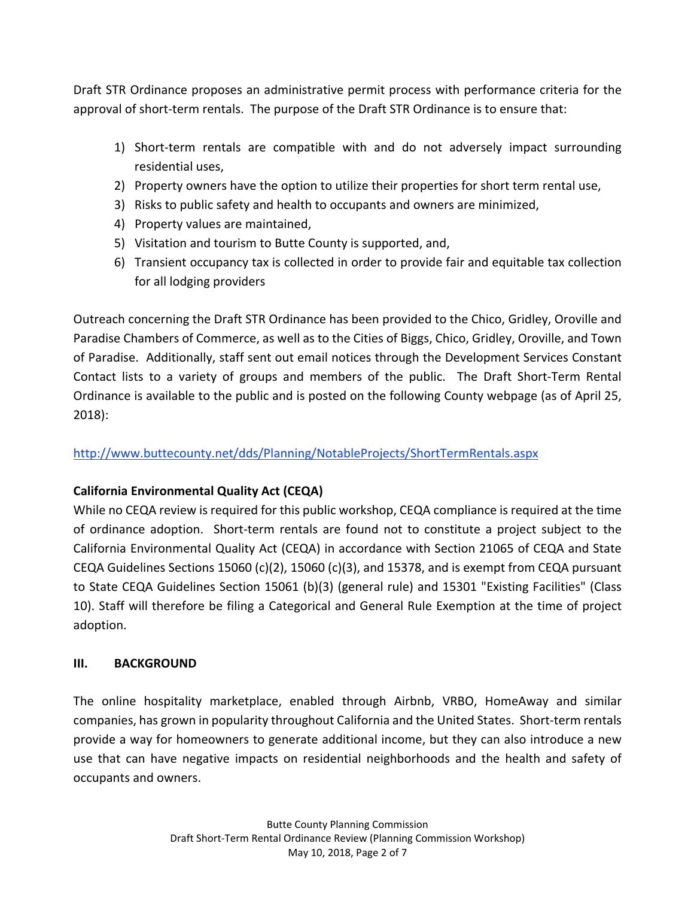Draft STR Ordinance proposes an administrative permit process with performance criteria for the approval of short-term rentals. The purpose of the Draft STR Ordinance is to ensure that:

- 1) Short-term rentals are compatible with and do not adversely impact surrounding residential uses,
- 2) Property owners have the option to utilize their properties for short term rental use,
- 3) Risks to public safety and health to occupants and owners are minimized,
- 4) Property values are maintained,
- 5) Visitation and tourism to Butte County is supported, and,
- 6) Transient occupancy tax is collected in order to provide fair and equitable tax collection for all lodging providers

Outreach concerning the Draft STR Ordinance has been provided to the Chico, Gridley, Oroville and Paradise Chambers of Commerce, as well as to the Cities of Biggs, Chico, Gridley, Oroville, and Town of Paradise. Additionally, staff sent out email notices through the Development Services Constant Contact lists to a variety of groups and members of the public. The Draft Short‐Term Rental Ordinance is available to the public and is posted on the following County webpage (as of April 25, 2018):

# http://www.buttecounty.net/dds/Planning/NotableProjects/ShortTermRentals.aspx

# **California Environmental Quality Act (CEQA)**

While no CEQA review is required for this public workshop, CEQA compliance is required at the time of ordinance adoption. Short-term rentals are found not to constitute a project subject to the California Environmental Quality Act (CEQA) in accordance with Section 21065 of CEQA and State CEQA Guidelines Sections 15060 (c)(2), 15060 (c)(3), and 15378, and is exempt from CEQA pursuant to State CEQA Guidelines Section 15061 (b)(3) (general rule) and 15301 "Existing Facilities" (Class 10). Staff will therefore be filing a Categorical and General Rule Exemption at the time of project adoption.

# **III. BACKGROUND**

The online hospitality marketplace, enabled through Airbnb, VRBO, HomeAway and similar companies, has grown in popularity throughout California and the United States. Short‐term rentals provide a way for homeowners to generate additional income, but they can also introduce a new use that can have negative impacts on residential neighborhoods and the health and safety of occupants and owners.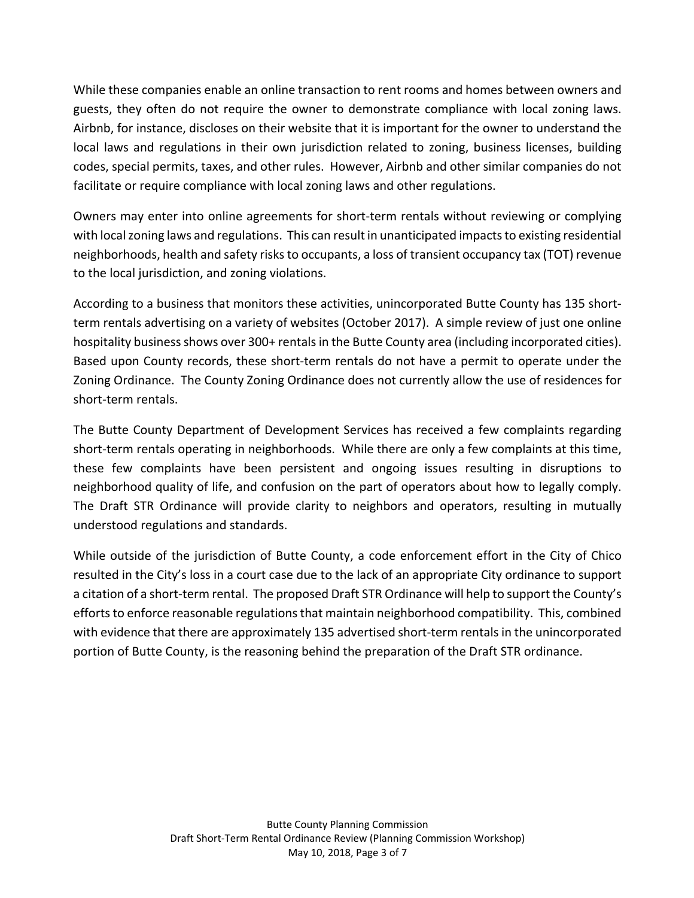While these companies enable an online transaction to rent rooms and homes between owners and guests, they often do not require the owner to demonstrate compliance with local zoning laws. Airbnb, for instance, discloses on their website that it is important for the owner to understand the local laws and regulations in their own jurisdiction related to zoning, business licenses, building codes, special permits, taxes, and other rules. However, Airbnb and other similar companies do not facilitate or require compliance with local zoning laws and other regulations.

Owners may enter into online agreements for short‐term rentals without reviewing or complying with local zoning laws and regulations. This can result in unanticipated impacts to existing residential neighborhoods, health and safety risks to occupants, a loss of transient occupancy tax (TOT) revenue to the local jurisdiction, and zoning violations.

According to a business that monitors these activities, unincorporated Butte County has 135 short‐ term rentals advertising on a variety of websites (October 2017). A simple review of just one online hospitality business shows over 300+ rentals in the Butte County area (including incorporated cities). Based upon County records, these short‐term rentals do not have a permit to operate under the Zoning Ordinance. The County Zoning Ordinance does not currently allow the use of residences for short‐term rentals.

The Butte County Department of Development Services has received a few complaints regarding short-term rentals operating in neighborhoods. While there are only a few complaints at this time, these few complaints have been persistent and ongoing issues resulting in disruptions to neighborhood quality of life, and confusion on the part of operators about how to legally comply. The Draft STR Ordinance will provide clarity to neighbors and operators, resulting in mutually understood regulations and standards.

While outside of the jurisdiction of Butte County, a code enforcement effort in the City of Chico resulted in the City's loss in a court case due to the lack of an appropriate City ordinance to support a citation of a short-term rental. The proposed Draft STR Ordinance will help to support the County's efforts to enforce reasonable regulations that maintain neighborhood compatibility. This, combined with evidence that there are approximately 135 advertised short-term rentals in the unincorporated portion of Butte County, is the reasoning behind the preparation of the Draft STR ordinance.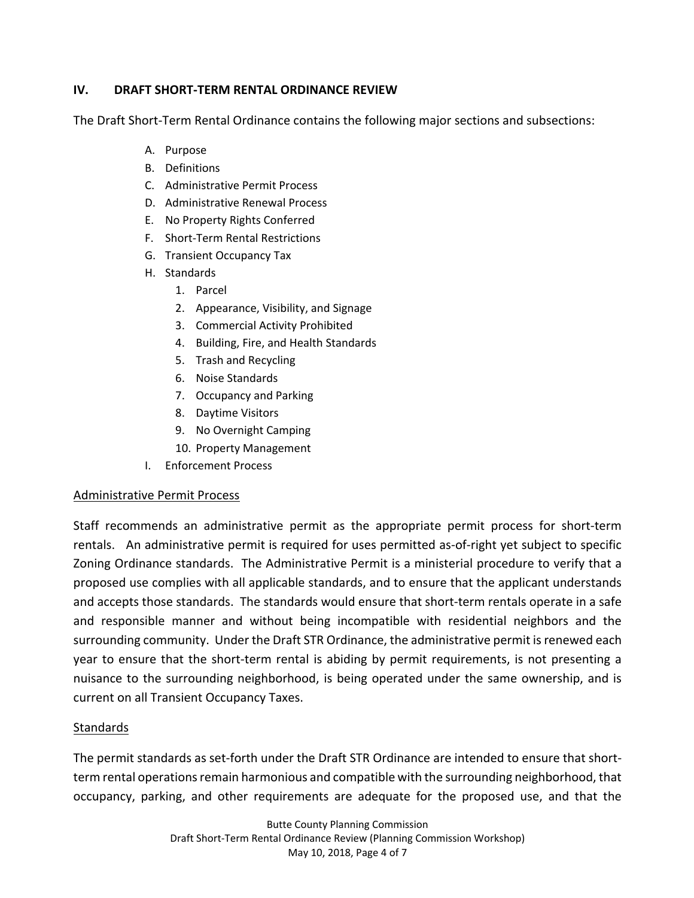## **IV. DRAFT SHORT‐TERM RENTAL ORDINANCE REVIEW**

The Draft Short‐Term Rental Ordinance contains the following major sections and subsections:

- A. Purpose
- B. Definitions
- C. Administrative Permit Process
- D. Administrative Renewal Process
- E. No Property Rights Conferred
- F. Short‐Term Rental Restrictions
- G. Transient Occupancy Tax
- H. Standards
	- 1. Parcel
	- 2. Appearance, Visibility, and Signage
	- 3. Commercial Activity Prohibited
	- 4. Building, Fire, and Health Standards
	- 5. Trash and Recycling
	- 6. Noise Standards
	- 7. Occupancy and Parking
	- 8. Daytime Visitors
	- 9. No Overnight Camping
	- 10. Property Management
- I. Enforcement Process

## Administrative Permit Process

Staff recommends an administrative permit as the appropriate permit process for short-term rentals. An administrative permit is required for uses permitted as‐of‐right yet subject to specific Zoning Ordinance standards. The Administrative Permit is a ministerial procedure to verify that a proposed use complies with all applicable standards, and to ensure that the applicant understands and accepts those standards. The standards would ensure that short‐term rentals operate in a safe and responsible manner and without being incompatible with residential neighbors and the surrounding community. Under the Draft STR Ordinance, the administrative permit is renewed each year to ensure that the short-term rental is abiding by permit requirements, is not presenting a nuisance to the surrounding neighborhood, is being operated under the same ownership, and is current on all Transient Occupancy Taxes.

## **Standards**

The permit standards as set-forth under the Draft STR Ordinance are intended to ensure that shortterm rental operations remain harmonious and compatible with the surrounding neighborhood, that occupancy, parking, and other requirements are adequate for the proposed use, and that the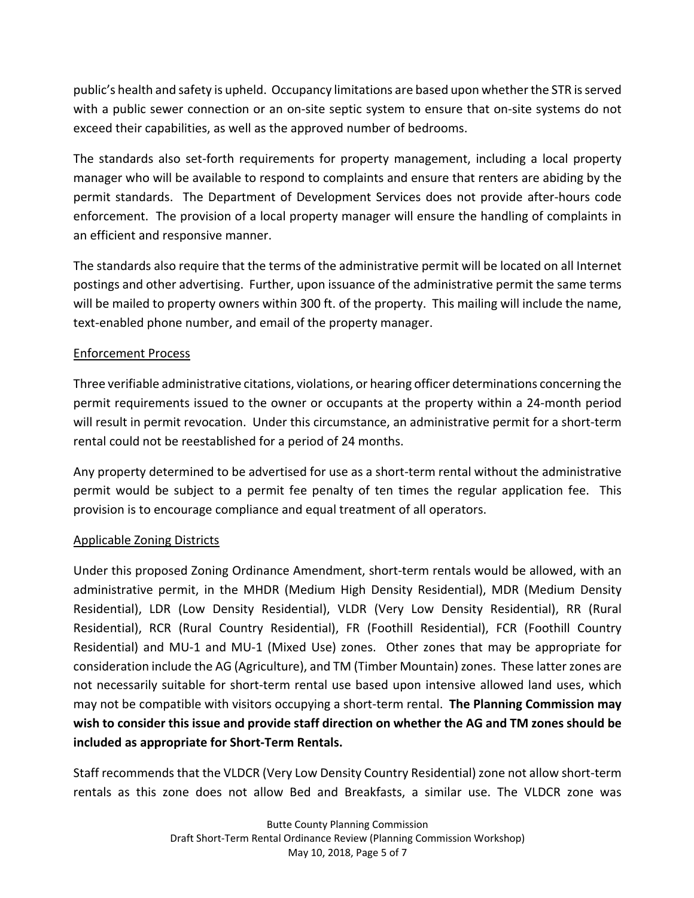public's health and safety is upheld. Occupancy limitations are based upon whether the STR is served with a public sewer connection or an on-site septic system to ensure that on-site systems do not exceed their capabilities, as well as the approved number of bedrooms.

The standards also set-forth requirements for property management, including a local property manager who will be available to respond to complaints and ensure that renters are abiding by the permit standards. The Department of Development Services does not provide after-hours code enforcement. The provision of a local property manager will ensure the handling of complaints in an efficient and responsive manner.

The standards also require that the terms of the administrative permit will be located on all Internet postings and other advertising. Further, upon issuance of the administrative permit the same terms will be mailed to property owners within 300 ft. of the property. This mailing will include the name, text-enabled phone number, and email of the property manager.

## Enforcement Process

Three verifiable administrative citations, violations, or hearing officer determinations concerning the permit requirements issued to the owner or occupants at the property within a 24‐month period will result in permit revocation. Under this circumstance, an administrative permit for a short-term rental could not be reestablished for a period of 24 months.

Any property determined to be advertised for use as a short‐term rental without the administrative permit would be subject to a permit fee penalty of ten times the regular application fee. This provision is to encourage compliance and equal treatment of all operators.

# Applicable Zoning Districts

Under this proposed Zoning Ordinance Amendment, short‐term rentals would be allowed, with an administrative permit, in the MHDR (Medium High Density Residential), MDR (Medium Density Residential), LDR (Low Density Residential), VLDR (Very Low Density Residential), RR (Rural Residential), RCR (Rural Country Residential), FR (Foothill Residential), FCR (Foothill Country Residential) and MU-1 and MU-1 (Mixed Use) zones. Other zones that may be appropriate for consideration include the AG (Agriculture), and TM (Timber Mountain) zones. These latter zones are not necessarily suitable for short-term rental use based upon intensive allowed land uses, which may not be compatible with visitors occupying a short‐term rental. **The Planning Commission may wish to consider this issue and provide staff direction on whether the AG and TM zones should be included as appropriate for Short‐Term Rentals.**

Staff recommends that the VLDCR (Very Low Density Country Residential) zone not allow short‐term rentals as this zone does not allow Bed and Breakfasts, a similar use. The VLDCR zone was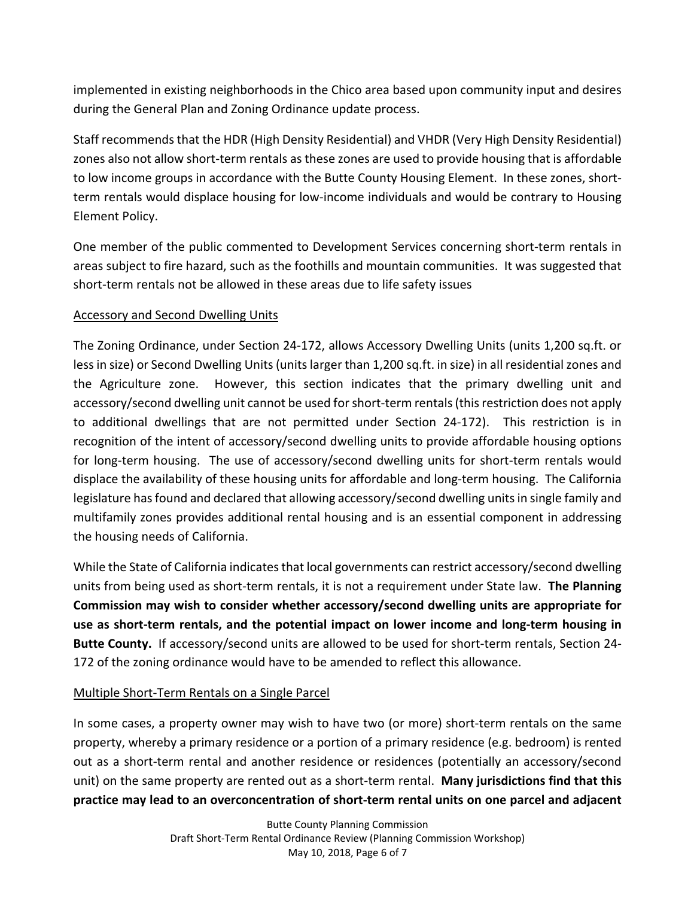implemented in existing neighborhoods in the Chico area based upon community input and desires during the General Plan and Zoning Ordinance update process.

Staff recommends that the HDR (High Density Residential) and VHDR (Very High Density Residential) zones also not allow short‐term rentals as these zones are used to provide housing that is affordable to low income groups in accordance with the Butte County Housing Element. In these zones, shortterm rentals would displace housing for low‐income individuals and would be contrary to Housing Element Policy.

One member of the public commented to Development Services concerning short‐term rentals in areas subject to fire hazard, such as the foothills and mountain communities. It was suggested that short-term rentals not be allowed in these areas due to life safety issues

## Accessory and Second Dwelling Units

The Zoning Ordinance, under Section 24‐172, allows Accessory Dwelling Units (units 1,200 sq.ft. or less in size) or Second Dwelling Units (units larger than 1,200 sq.ft. in size) in all residential zones and the Agriculture zone. However, this section indicates that the primary dwelling unit and accessory/second dwelling unit cannot be used for short‐term rentals (this restriction does not apply to additional dwellings that are not permitted under Section 24-172). This restriction is in recognition of the intent of accessory/second dwelling units to provide affordable housing options for long-term housing. The use of accessory/second dwelling units for short-term rentals would displace the availability of these housing units for affordable and long‐term housing. The California legislature has found and declared that allowing accessory/second dwelling units in single family and multifamily zones provides additional rental housing and is an essential component in addressing the housing needs of California.

While the State of California indicates that local governments can restrict accessory/second dwelling units from being used as short‐term rentals, it is not a requirement under State law. **The Planning Commission may wish to consider whether accessory/second dwelling units are appropriate for use as short‐term rentals, and the potential impact on lower income and long‐term housing in Butte County.** If accessory/second units are allowed to be used for short‐term rentals, Section 24‐ 172 of the zoning ordinance would have to be amended to reflect this allowance.

## Multiple Short‐Term Rentals on a Single Parcel

In some cases, a property owner may wish to have two (or more) short-term rentals on the same property, whereby a primary residence or a portion of a primary residence (e.g. bedroom) is rented out as a short‐term rental and another residence or residences (potentially an accessory/second unit) on the same property are rented out as a short‐term rental. **Many jurisdictions find that this practice may lead to an overconcentration of short‐term rental units on one parcel and adjacent**